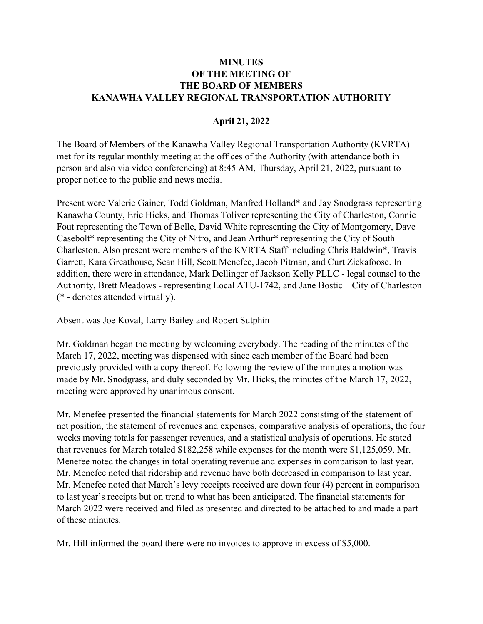## **MINUTES** OF THE MEETING OF THE BOARD OF MEMBERS KANAWHA VALLEY REGIONAL TRANSPORTATION AUTHORITY

## April 21, 2022

The Board of Members of the Kanawha Valley Regional Transportation Authority (KVRTA) met for its regular monthly meeting at the offices of the Authority (with attendance both in person and also via video conferencing) at 8:45 AM, Thursday, April 21, 2022, pursuant to proper notice to the public and news media.

Present were Valerie Gainer, Todd Goldman, Manfred Holland\* and Jay Snodgrass representing Kanawha County, Eric Hicks, and Thomas Toliver representing the City of Charleston, Connie Fout representing the Town of Belle, David White representing the City of Montgomery, Dave Casebolt\* representing the City of Nitro, and Jean Arthur\* representing the City of South Charleston. Also present were members of the KVRTA Staff including Chris Baldwin\*, Travis Garrett, Kara Greathouse, Sean Hill, Scott Menefee, Jacob Pitman, and Curt Zickafoose. In addition, there were in attendance, Mark Dellinger of Jackson Kelly PLLC - legal counsel to the Authority, Brett Meadows - representing Local ATU-1742, and Jane Bostic – City of Charleston (\* - denotes attended virtually).

Absent was Joe Koval, Larry Bailey and Robert Sutphin

Mr. Goldman began the meeting by welcoming everybody. The reading of the minutes of the March 17, 2022, meeting was dispensed with since each member of the Board had been previously provided with a copy thereof. Following the review of the minutes a motion was made by Mr. Snodgrass, and duly seconded by Mr. Hicks, the minutes of the March 17, 2022, meeting were approved by unanimous consent.

Mr. Menefee presented the financial statements for March 2022 consisting of the statement of net position, the statement of revenues and expenses, comparative analysis of operations, the four weeks moving totals for passenger revenues, and a statistical analysis of operations. He stated that revenues for March totaled \$182,258 while expenses for the month were \$1,125,059. Mr. Menefee noted the changes in total operating revenue and expenses in comparison to last year. Mr. Menefee noted that ridership and revenue have both decreased in comparison to last year. Mr. Menefee noted that March's levy receipts received are down four (4) percent in comparison to last year's receipts but on trend to what has been anticipated. The financial statements for March 2022 were received and filed as presented and directed to be attached to and made a part of these minutes.

Mr. Hill informed the board there were no invoices to approve in excess of \$5,000.